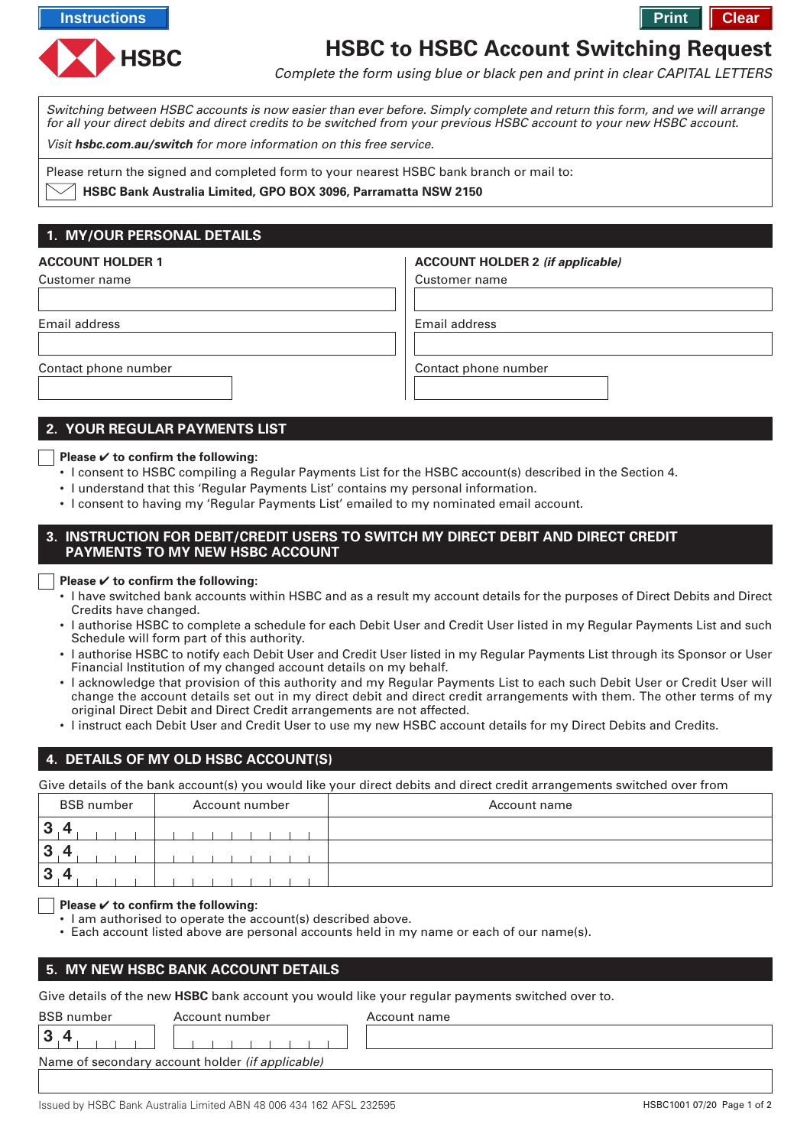**Instructions Printing instructions Printing instructions Printing instructions Printing instructions** 



# **HSBC to HSBC Account Switching Request**

Complete the form using blue or black pen and print in clear CAPITAL LETTERS

Switching between HSBC accounts is now easier than ever before. Simply complete and return this form, and we will arrange for all your direct debits and direct credits to be switched from your previous HSBC account to your new HSBC account.

Visit **hsbc.com.au/switch** for more information on this free service.

Please return the signed and completed form to your nearest HSBC bank branch or mail to:

**HSBC Bank Australia Limited, GPO BOX 3096, Parramatta NSW 2150**

# **1. MY/OUR PERSONAL DETAILS**

# Customer name **ACCOUNT HOLDER 1** Email address Contact phone number Customer name **ACCOUNT HOLDER 2 (if applicable)** Email address Contact phone number

## **2. YOUR REGULAR PAYMENTS LIST**

#### **Please** ✔ **to confirm the following:**

- I consent to HSBC compiling a Regular Payments List for the HSBC account(s) described in the Section 4.
- I understand that this 'Regular Payments List' contains my personal information.
- I consent to having my 'Regular Payments List' emailed to my nominated email account.

#### **3. INSTRUCTION FOR DEBIT/CREDIT USERS TO SWITCH MY DIRECT DEBIT AND DIRECT CREDIT PAYMENTS TO MY NEW HSBC ACCOUNT**

#### **Please** ✔ **to confirm the following:**

- I have switched bank accounts within HSBC and as a result my account details for the purposes of Direct Debits and Direct Credits have changed.
- I authorise HSBC to complete a schedule for each Debit User and Credit User listed in my Regular Payments List and such Schedule will form part of this authority.
- I authorise HSBC to notify each Debit User and Credit User listed in my Regular Payments List through its Sponsor or User Financial Institution of my changed account details on my behalf.
- I acknowledge that provision of this authority and my Regular Payments List to each such Debit User or Credit User will change the account details set out in my direct debit and direct credit arrangements with them. The other terms of my original Direct Debit and Direct Credit arrangements are not affected.
- I instruct each Debit User and Credit User to use my new HSBC account details for my Direct Debits and Credits.

# **4. DETAILS OF MY OLD HSBC ACCOUNT(S)**

Give details of the bank account(s) you would like your direct debits and direct credit arrangements switched over from

| <b>BSB</b> number | Account number | Account name |
|-------------------|----------------|--------------|
| $\overline{3}$    |                |              |
| $\overline{3}$    |                |              |
| $\overline{3}$    |                |              |

#### **Please** ✔ **to confirm the following:**

- I am authorised to operate the account(s) described above.
- Each account listed above are personal accounts held in my name or each of our name(s).

#### **5. MY NEW HSBC BANK ACCOUNT DETAILS**

Give details of the new **HSBC** bank account you would like your regular payments switched over to.

| <b>BSB</b> number | Account number                                   | Account name |
|-------------------|--------------------------------------------------|--------------|
| 3                 |                                                  |              |
|                   | Name of secondary account holder (if applicable) |              |